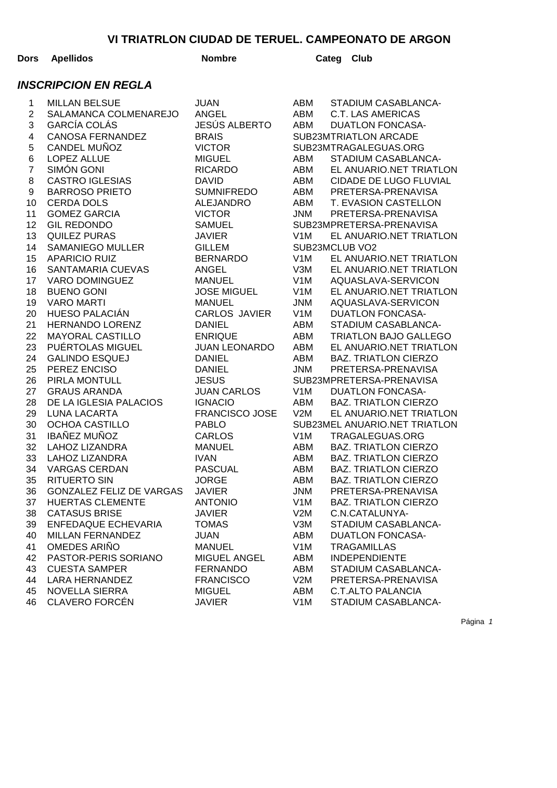| Dors                        | <b>Apellidos</b>                | <b>Nombre</b>         |                  | Categ | Club                          |  |  |  |  |
|-----------------------------|---------------------------------|-----------------------|------------------|-------|-------------------------------|--|--|--|--|
| <b>INSCRIPCION EN REGLA</b> |                                 |                       |                  |       |                               |  |  |  |  |
| 1                           | <b>MILLAN BELSUE</b>            | <b>JUAN</b>           | ABM              |       | STADIUM CASABLANCA-           |  |  |  |  |
| $\overline{c}$              | SALAMANCA COLMENAREJO           | <b>ANGEL</b>          | ABM              |       | <b>C.T. LAS AMERICAS</b>      |  |  |  |  |
| 3                           | <b>GARCÍA COLÁS</b>             | <b>JESÚS ALBERTO</b>  | ABM              |       | <b>DUATLON FONCASA-</b>       |  |  |  |  |
| $\overline{\mathbf{4}}$     | <b>CANOSA FERNANDEZ</b>         | <b>BRAIS</b>          |                  |       | SUB23MTRIATLON ARCADE         |  |  |  |  |
| 5                           | CANDEL MUÑOZ                    | <b>VICTOR</b>         |                  |       | SUB23MTRAGALEGUAS.ORG         |  |  |  |  |
| 6                           | <b>LOPEZ ALLUE</b>              | <b>MIGUEL</b>         | ABM              |       | STADIUM CASABLANCA-           |  |  |  |  |
| $\overline{7}$              | SIMÓN GONI                      | <b>RICARDO</b>        | ABM              |       | EL ANUARIO.NET TRIATLON       |  |  |  |  |
| 8                           | <b>CASTRO IGLESIAS</b>          | <b>DAVID</b>          | ABM              |       | CIDADE DE LUGO FLUVIAL        |  |  |  |  |
| 9                           | <b>BARROSO PRIETO</b>           | <b>SUMNIFREDO</b>     | ABM              |       | PRETERSA-PRENAVISA            |  |  |  |  |
| 10                          | <b>CERDA DOLS</b>               | <b>ALEJANDRO</b>      | ABM              |       | T. EVASION CASTELLON          |  |  |  |  |
| 11                          | <b>GOMEZ GARCIA</b>             | <b>VICTOR</b>         | <b>JNM</b>       |       | PRETERSA-PRENAVISA            |  |  |  |  |
| 12                          | <b>GIL REDONDO</b>              | <b>SAMUEL</b>         |                  |       | SUB23MPRETERSA-PRENAVISA      |  |  |  |  |
| 13                          | <b>QUILEZ PURAS</b>             | <b>JAVIER</b>         | V <sub>1</sub> M |       | EL ANUARIO.NET TRIATLON       |  |  |  |  |
| 14                          | <b>SAMANIEGO MULLER</b>         | <b>GILLEM</b>         | SUB23MCLUB VO2   |       |                               |  |  |  |  |
| 15                          | <b>APARICIO RUIZ</b>            | <b>BERNARDO</b>       | V <sub>1</sub> M |       | EL ANUARIO.NET TRIATLON       |  |  |  |  |
| 16                          | SANTAMARIA CUEVAS               | <b>ANGEL</b>          | V3M              |       | EL ANUARIO.NET TRIATLON       |  |  |  |  |
| 17                          | <b>VARO DOMINGUEZ</b>           | <b>MANUEL</b>         | V <sub>1</sub> M |       | AQUASLAVA-SERVICON            |  |  |  |  |
| 18                          | <b>BUENO GONI</b>               | <b>JOSE MIGUEL</b>    | V <sub>1</sub> M |       | EL ANUARIO.NET TRIATLON       |  |  |  |  |
| 19                          | <b>VARO MARTI</b>               | <b>MANUEL</b>         | <b>JNM</b>       |       | AQUASLAVA-SERVICON            |  |  |  |  |
| 20                          | <b>HUESO PALACIÁN</b>           | <b>CARLOS JAVIER</b>  | V <sub>1</sub> M |       | <b>DUATLON FONCASA-</b>       |  |  |  |  |
| 21                          | <b>HERNANDO LORENZ</b>          | <b>DANIEL</b>         | ABM              |       | STADIUM CASABLANCA-           |  |  |  |  |
| 22                          | <b>MAYORAL CASTILLO</b>         | <b>ENRIQUE</b>        | ABM              |       | <b>TRIATLON BAJO GALLEGO</b>  |  |  |  |  |
| 23                          | PUÉRTOLAS MIGUEL                | <b>JUAN LEONARDO</b>  | ABM              |       | EL ANUARIO.NET TRIATLON       |  |  |  |  |
| 24                          | <b>GALINDO ESQUEJ</b>           | <b>DANIEL</b>         | ABM              |       | <b>BAZ. TRIATLON CIERZO</b>   |  |  |  |  |
| 25                          | PEREZ ENCISO                    | <b>DANIEL</b>         | <b>JNM</b>       |       | PRETERSA-PRENAVISA            |  |  |  |  |
| 26                          | PIRLA MONTULL                   | <b>JESUS</b>          |                  |       | SUB23MPRETERSA-PRENAVISA      |  |  |  |  |
| 27                          | <b>GRAUS ARANDA</b>             | <b>JUAN CARLOS</b>    | V <sub>1</sub> M |       | <b>DUATLON FONCASA-</b>       |  |  |  |  |
| 28                          | DE LA IGLESIA PALACIOS          | <b>IGNACIO</b>        | ABM              |       | <b>BAZ. TRIATLON CIERZO</b>   |  |  |  |  |
| 29                          | <b>LUNA LACARTA</b>             | <b>FRANCISCO JOSE</b> | V2M              |       | EL ANUARIO.NET TRIATLON       |  |  |  |  |
| 30                          | <b>OCHOA CASTILLO</b>           | <b>PABLO</b>          |                  |       | SUB23MEL ANUARIO.NET TRIATLON |  |  |  |  |
| 31                          | <b>IBAÑEZ MUÑOZ</b>             | <b>CARLOS</b>         | V <sub>1</sub> M |       | TRAGALEGUAS.ORG               |  |  |  |  |
| 32                          | <b>LAHOZ LIZANDRA</b>           | <b>MANUEL</b>         | <b>ABM</b>       |       | <b>BAZ. TRIATLON CIERZO</b>   |  |  |  |  |
| 33                          | <b>LAHOZ LIZANDRA</b>           | <b>IVAN</b>           | ABM              |       | <b>BAZ. TRIATLON CIERZO</b>   |  |  |  |  |
| 34                          | <b>VARGAS CERDAN</b>            | <b>PASCUAL</b>        | ABM              |       | <b>BAZ. TRIATLON CIERZO</b>   |  |  |  |  |
| 35                          | <b>RITUERTO SIN</b>             | <b>JORGE</b>          | ABM              |       | <b>BAZ. TRIATLON CIERZO</b>   |  |  |  |  |
| 36                          | <b>GONZALEZ FELIZ DE VARGAS</b> | <b>JAVIER</b>         | <b>JNM</b>       |       | PRETERSA-PRENAVISA            |  |  |  |  |
| 37                          | <b>HUERTAS CLEMENTE</b>         | <b>ANTONIO</b>        | V <sub>1</sub> M |       | <b>BAZ. TRIATLON CIERZO</b>   |  |  |  |  |
| 38                          | <b>CATASUS BRISE</b>            | <b>JAVIER</b>         | V2M              |       | C.N.CATALUNYA-                |  |  |  |  |
| 39                          | <b>ENFEDAQUE ECHEVARIA</b>      | <b>TOMAS</b>          | V3M              |       | STADIUM CASABLANCA-           |  |  |  |  |
| 40                          | MILLAN FERNANDEZ                | <b>JUAN</b>           | ABM              |       | <b>DUATLON FONCASA-</b>       |  |  |  |  |
| 41                          | OMEDES ARIÑO                    | <b>MANUEL</b>         | V <sub>1</sub> M |       | <b>TRAGAMILLAS</b>            |  |  |  |  |
| 42                          | PASTOR-PERIS SORIANO            | <b>MIGUEL ANGEL</b>   | ABM              |       | <b>INDEPENDIENTE</b>          |  |  |  |  |
| 43                          | <b>CUESTA SAMPER</b>            | <b>FERNANDO</b>       | ABM              |       | STADIUM CASABLANCA-           |  |  |  |  |
| 44                          | <b>LARA HERNANDEZ</b>           | <b>FRANCISCO</b>      | V2M              |       | PRETERSA-PRENAVISA            |  |  |  |  |
| 45                          | NOVELLA SIERRA                  | <b>MIGUEL</b>         | ABM              |       | <b>C.T.ALTO PALANCIA</b>      |  |  |  |  |
| 46                          | <b>CLAVERO FORCÉN</b>           | <b>JAVIER</b>         | V <sub>1</sub> M |       | STADIUM CASABLANCA-           |  |  |  |  |

Página 1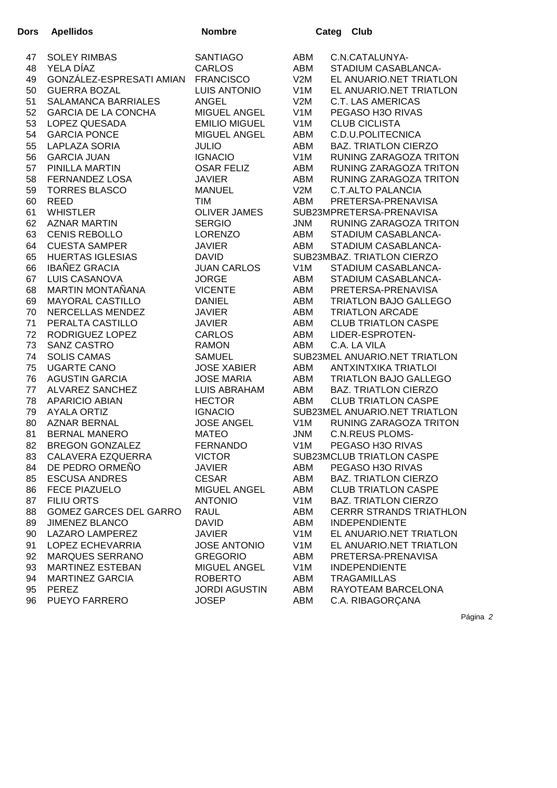| <b>Dors</b> | <b>Apellidos</b>              | <b>Nombre</b>        |                  | Categ | <b>Club</b>                    |
|-------------|-------------------------------|----------------------|------------------|-------|--------------------------------|
| 47          | <b>SOLEY RIMBAS</b>           | <b>SANTIAGO</b>      | ABM              |       | C.N.CATALUNYA-                 |
| 48          | YELA DÍAZ                     | <b>CARLOS</b>        | ABM              |       | STADIUM CASABLANCA-            |
| 49          | GONZÁLEZ-ESPRESATI AMIAN      | <b>FRANCISCO</b>     | V2M              |       | EL ANUARIO.NET TRIATLON        |
| 50          | <b>GUERRA BOZAL</b>           | <b>LUIS ANTONIO</b>  | V <sub>1</sub> M |       | EL ANUARIO.NET TRIATLON        |
| 51          | SALAMANCA BARRIALES           | <b>ANGEL</b>         | V2M              |       | <b>C.T. LAS AMERICAS</b>       |
| 52          | <b>GARCIA DE LA CONCHA</b>    | <b>MIGUEL ANGEL</b>  | V <sub>1</sub> M |       | PEGASO H3O RIVAS               |
| 53          | LOPEZ QUESADA                 | <b>EMILIO MIGUEL</b> | V <sub>1</sub> M |       | <b>CLUB CICLISTA</b>           |
| 54          | <b>GARCIA PONCE</b>           | <b>MIGUEL ANGEL</b>  | ABM              |       | C.D.U.POLITECNICA              |
| 55          | <b>LAPLAZA SORIA</b>          | <b>JULIO</b>         | ABM              |       | <b>BAZ. TRIATLON CIERZO</b>    |
| 56          | <b>GARCIA JUAN</b>            | <b>IGNACIO</b>       | V <sub>1</sub> M |       | <b>RUNING ZARAGOZA TRITON</b>  |
| 57          | PINILLA MARTIN                | <b>OSAR FELIZ</b>    | ABM              |       | RUNING ZARAGOZA TRITON         |
| 58          | <b>FERNANDEZ LOSA</b>         | <b>JAVIER</b>        | ABM              |       | RUNING ZARAGOZA TRITON         |
| 59          | <b>TORRES BLASCO</b>          | <b>MANUEL</b>        | V2M              |       | <b>C.T.ALTO PALANCIA</b>       |
| 60          | <b>REED</b>                   | <b>TIM</b>           | ABM              |       | PRETERSA-PRENAVISA             |
| 61          | <b>WHISTLER</b>               | <b>OLIVER JAMES</b>  |                  |       | SUB23MPRETERSA-PRENAVISA       |
| 62          | <b>AZNAR MARTIN</b>           | <b>SERGIO</b>        | <b>JNM</b>       |       | RUNING ZARAGOZA TRITON         |
| 63          | <b>CENIS REBOLLO</b>          | <b>LORENZO</b>       | ABM              |       | STADIUM CASABLANCA-            |
| 64          | <b>CUESTA SAMPER</b>          | <b>JAVIER</b>        | ABM              |       | STADIUM CASABLANCA-            |
| 65          | <b>HUERTAS IGLESIAS</b>       | <b>DAVID</b>         |                  |       | SUB23MBAZ. TRIATLON CIERZO     |
| 66          | <b>IBAÑEZ GRACIA</b>          | <b>JUAN CARLOS</b>   | V <sub>1</sub> M |       | STADIUM CASABLANCA-            |
| 67          | <b>LUIS CASANOVA</b>          | <b>JORGE</b>         | ABM              |       | STADIUM CASABLANCA-            |
| 68          | MARTIN MONTAÑANA              | <b>VICENTE</b>       | ABM              |       | PRETERSA-PRENAVISA             |
| 69          | <b>MAYORAL CASTILLO</b>       | <b>DANIEL</b>        | ABM              |       | <b>TRIATLON BAJO GALLEGO</b>   |
| 70          | NERCELLAS MENDEZ              | <b>JAVIER</b>        | ABM              |       | <b>TRIATLON ARCADE</b>         |
| 71          | PERALTA CASTILLO              | <b>JAVIER</b>        | ABM              |       | <b>CLUB TRIATLON CASPE</b>     |
| 72          | RODRIGUEZ LOPEZ               | <b>CARLOS</b>        | ABM              |       | LIDER-ESPROTEN-                |
| 73          | SANZ CASTRO                   | <b>RAMON</b>         | ABM              |       | C.A. LA VILA                   |
| 74          | <b>SOLIS CAMAS</b>            | <b>SAMUEL</b>        |                  |       | SUB23MEL ANUARIO.NET TRIATLON  |
| 75          | <b>UGARTE CANO</b>            | <b>JOSE XABIER</b>   | ABM              |       | <b>ANTXINTXIKA TRIATLOI</b>    |
| 76          | <b>AGUSTIN GARCIA</b>         | <b>JOSE MARIA</b>    | ABM              |       | <b>TRIATLON BAJO GALLEGO</b>   |
| 77          | <b>ALVAREZ SANCHEZ</b>        | <b>LUIS ABRAHAM</b>  | ABM              |       | <b>BAZ. TRIATLON CIERZO</b>    |
| 78          | <b>APARICIO ABIAN</b>         | <b>HECTOR</b>        | ABM              |       | <b>CLUB TRIATLON CASPE</b>     |
| 79          | <b>AYALA ORTIZ</b>            | <b>IGNACIO</b>       |                  |       | SUB23MEL ANUARIO.NET TRIATLON  |
| 80          | <b>AZNAR BERNAL</b>           | <b>JOSE ANGEL</b>    | V <sub>1</sub> M |       | <b>RUNING ZARAGOZA TRITON</b>  |
| 81          | <b>BERNAL MANERO</b>          | <b>MATEO</b>         | <b>JNM</b>       |       | <b>C.N.REUS PLOMS-</b>         |
| 82          | <b>BREGON GONZALEZ</b>        | <b>FERNANDO</b>      | V1M              |       | PEGASO H3O RIVAS               |
| 83          | CALAVERA EZQUERRA             | <b>VICTOR</b>        |                  |       | SUB23MCLUB TRIATLON CASPE      |
| 84          | DE PEDRO ORMEÑO               | <b>JAVIER</b>        | ABM              |       | PEGASO H3O RIVAS               |
| 85          | <b>ESCUSA ANDRES</b>          | <b>CESAR</b>         | ABM              |       | <b>BAZ. TRIATLON CIERZO</b>    |
| 86          | <b>FECE PIAZUELO</b>          | <b>MIGUEL ANGEL</b>  | ABM              |       | <b>CLUB TRIATLON CASPE</b>     |
| 87          | FILIU ORTS                    | <b>ANTONIO</b>       | V <sub>1</sub> M |       | <b>BAZ. TRIATLON CIERZO</b>    |
| 88          | <b>GOMEZ GARCES DEL GARRO</b> | <b>RAUL</b>          | ABM              |       | <b>CERRR STRANDS TRIATHLON</b> |
| 89          | <b>JIMENEZ BLANCO</b>         | <b>DAVID</b>         | ABM              |       | <b>INDEPENDIENTE</b>           |
| 90          | LAZARO LAMPEREZ               | <b>JAVIER</b>        | V <sub>1</sub> M |       | EL ANUARIO.NET TRIATLON        |
| 91          | LOPEZ ECHEVARRIA              | <b>JOSE ANTONIO</b>  | V <sub>1</sub> M |       | EL ANUARIO.NET TRIATLON        |
| 92          | <b>MARQUES SERRANO</b>        | <b>GREGORIO</b>      | ABM              |       | PRETERSA-PRENAVISA             |
| 93          | <b>MARTINEZ ESTEBAN</b>       | <b>MIGUEL ANGEL</b>  | V <sub>1</sub> M |       | <b>INDEPENDIENTE</b>           |
| 94          | <b>MARTINEZ GARCIA</b>        | <b>ROBERTO</b>       | ABM              |       | <b>TRAGAMILLAS</b>             |
| 95          | <b>PEREZ</b>                  | <b>JORDI AGUSTIN</b> | ABM              |       | RAYOTEAM BARCELONA             |
| 96          | PUEYO FARRERO                 | <b>JOSEP</b>         | ABM              |       | C.A. RIBAGORÇANA               |

Página 2